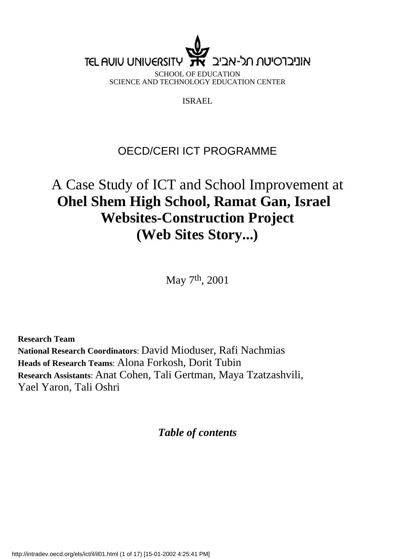## **TEL AUIU UNIUERSITY** אוניברסיטח חל-אביי

SCHOOL OF EDUCATION SCIENCE AND TECHNOLOGY EDUCATION CENTER

ISRAEL

### OECD/CERI ICT PROGRAMME

### A Case Study of ICT and School Improvement at **Ohel Shem High School, Ramat Gan, Israel Websites-Construction Project (Web Sites Story...)**

May 7th, 2001

**Research Team National Research Coordinators**: David Mioduser, Rafi Nachmias **Heads of Research Teams**: Alona Forkosh, Dorit Tubin **Research Assistants**: Anat Cohen, Tali Gertman, Maya Tzatzashvili, Yael Yaron, Tali Oshri

*Table of contents*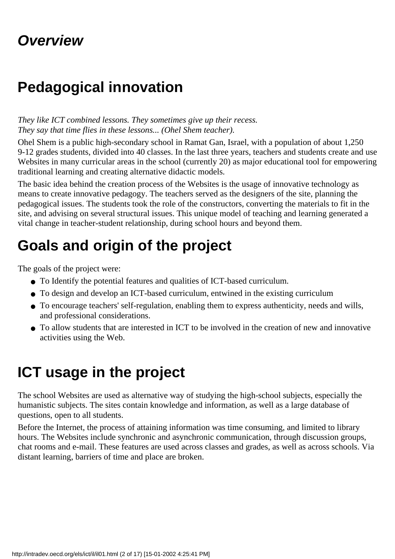## **Overview**

## **Pedagogical innovation**

#### *They like ICT combined lessons. They sometimes give up their recess. They say that time flies in these lessons... (Ohel Shem teacher).*

Ohel Shem is a public high-secondary school in Ramat Gan, Israel, with a population of about 1,250 9-12 grades students, divided into 40 classes. In the last three years, teachers and students create and use Websites in many curricular areas in the school (currently 20) as major educational tool for empowering traditional learning and creating alternative didactic models.

The basic idea behind the creation process of the Websites is the usage of innovative technology as means to create innovative pedagogy. The teachers served as the designers of the site, planning the pedagogical issues. The students took the role of the constructors, converting the materials to fit in the site, and advising on several structural issues. This unique model of teaching and learning generated a vital change in teacher-student relationship, during school hours and beyond them.

## **Goals and origin of the project**

The goals of the project were:

- To Identify the potential features and qualities of ICT-based curriculum.
- To design and develop an ICT-based curriculum, entwined in the existing curriculum
- To encourage teachers' self-regulation, enabling them to express authenticity, needs and wills, and professional considerations.
- To allow students that are interested in ICT to be involved in the creation of new and innovative activities using the Web.

# **ICT usage in the project**

The school Websites are used as alternative way of studying the high-school subjects, especially the humanistic subjects. The sites contain knowledge and information, as well as a large database of questions, open to all students.

Before the Internet, the process of attaining information was time consuming, and limited to library hours. The Websites include synchronic and asynchronic communication, through discussion groups, chat rooms and e-mail. These features are used across classes and grades, as well as across schools. Via distant learning, barriers of time and place are broken.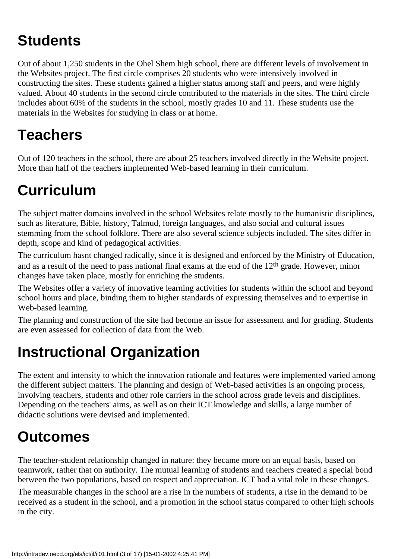# **Students**

Out of about 1,250 students in the Ohel Shem high school, there are different levels of involvement in the Websites project. The first circle comprises 20 students who were intensively involved in constructing the sites. These students gained a higher status among staff and peers, and were highly valued. About 40 students in the second circle contributed to the materials in the sites. The third circle includes about 60% of the students in the school, mostly grades 10 and 11. These students use the materials in the Websites for studying in class or at home.

## **Teachers**

Out of 120 teachers in the school, there are about 25 teachers involved directly in the Website project. More than half of the teachers implemented Web-based learning in their curriculum.

# **Curriculum**

The subject matter domains involved in the school Websites relate mostly to the humanistic disciplines, such as literature, Bible, history, Talmud, foreign languages, and also social and cultural issues stemming from the school folklore. There are also several science subjects included. The sites differ in depth, scope and kind of pedagogical activities.

The curriculum hasnt changed radically, since it is designed and enforced by the Ministry of Education, and as a result of the need to pass national final exams at the end of the 12th grade. However, minor changes have taken place, mostly for enriching the students.

The Websites offer a variety of innovative learning activities for students within the school and beyond school hours and place, binding them to higher standards of expressing themselves and to expertise in Web-based learning.

The planning and construction of the site had become an issue for assessment and for grading. Students are even assessed for collection of data from the Web.

# **Instructional Organization**

The extent and intensity to which the innovation rationale and features were implemented varied among the different subject matters. The planning and design of Web-based activities is an ongoing process, involving teachers, students and other role carriers in the school across grade levels and disciplines. Depending on the teachers' aims, as well as on their ICT knowledge and skills, a large number of didactic solutions were devised and implemented.

# **Outcomes**

The teacher-student relationship changed in nature: they became more on an equal basis, based on teamwork, rather that on authority. The mutual learning of students and teachers created a special bond between the two populations, based on respect and appreciation. ICT had a vital role in these changes.

The measurable changes in the school are a rise in the numbers of students, a rise in the demand to be received as a student in the school, and a promotion in the school status compared to other high schools in the city.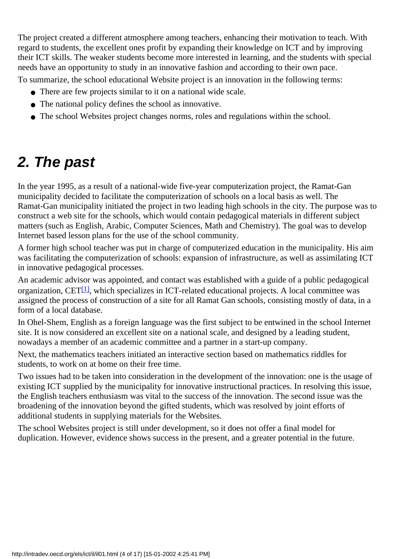The project created a different atmosphere among teachers, enhancing their motivation to teach. With regard to students, the excellent ones profit by expanding their knowledge on ICT and by improving their ICT skills. The weaker students become more interested in learning, and the students with special needs have an opportunity to study in an innovative fashion and according to their own pace.

To summarize, the school educational Website project is an innovation in the following terms:

- There are few projects similar to it on a national wide scale.
- The national policy defines the school as innovative.
- The school Websites project changes norms, roles and regulations within the school.

### **2. The past**

In the year 1995, as a result of a national-wide five-year computerization project, the Ramat-Gan municipality decided to facilitate the computerization of schools on a local basis as well. The Ramat-Gan municipality initiated the project in two leading high schools in the city. The purpose was to construct a web site for the schools, which would contain pedagogical materials in different subject matters (such as English, Arabic, Computer Sciences, Math and Chemistry). The goal was to develop Internet based lesson plans for the use of the school community.

A former high school teacher was put in charge of computerized education in the municipality. His aim was facilitating the computerization of schools: expansion of infrastructure, as well as assimilating ICT in innovative pedagogical processes.

<span id="page-3-0"></span>An academic advisor was appointed, and contact was established with a guide of a public pedagogical organization, CET $[1]$ , which specializes in ICT-related educational projects. A local committee was assigned the process of construction of a site for all Ramat Gan schools, consisting mostly of data, in a form of a local database.

In Ohel-Shem, English as a foreign language was the first subject to be entwined in the school Internet site. It is now considered an excellent site on a national scale, and designed by a leading student, nowadays a member of an academic committee and a partner in a start-up company.

Next, the mathematics teachers initiated an interactive section based on mathematics riddles for students, to work on at home on their free time.

Two issues had to be taken into consideration in the development of the innovation: one is the usage of existing ICT supplied by the municipality for innovative instructional practices. In resolving this issue, the English teacher s enthusiasm was vital to the success of the innovation. The second issue was the broadening of the innovation beyond the gifted students, which was resolved by joint efforts of additional students in supplying materials for the Websites.

The school Websites project is still under development, so it does not offer a final model for duplication. However, evidence shows success in the present, and a greater potential in the future.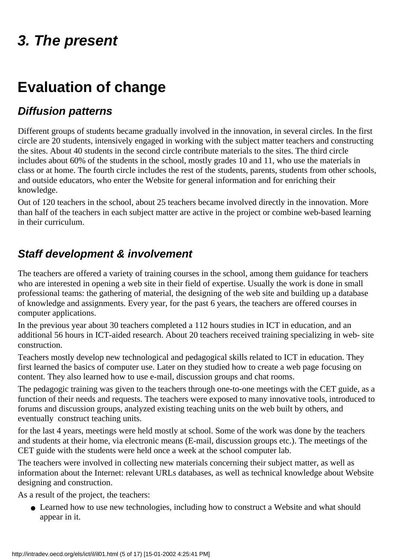## **3. The present**

## **Evaluation of change**

### **Diffusion patterns**

Different groups of students became gradually involved in the innovation, in several circles. In the first circle are 20 students, intensively engaged in working with the subject matter teachers and constructing the sites. About 40 students in the second circle contribute materials to the sites. The third circle includes about 60% of the students in the school, mostly grades 10 and 11, who use the materials in class or at home. The fourth circle includes the rest of the students, parents, students from other schools, and outside educators, who enter the Website for general information and for enriching their knowledge.

Out of 120 teachers in the school, about 25 teachers became involved directly in the innovation. More than half of the teachers in each subject matter are active in the project or combine web-based learning in their curriculum.

### **Staff development & involvement**

The teachers are offered a variety of training courses in the school, among them guidance for teachers who are interested in opening a web site in their field of expertise. Usually the work is done in small professional teams: the gathering of material, the designing of the web site and building up a database of knowledge and assignments. Every year, for the past 6 years, the teachers are offered courses in computer applications.

In the previous year about 30 teachers completed a 112 hours studies in ICT in education, and an additional 56 hours in ICT-aided research. About 20 teachers received training specializing in web- site construction.

Teachers mostly develop new technological and pedagogical skills related to ICT in education. They first learned the basics of computer use. Later on they studied how to create a web page focusing on content. They also learned how to use e-mail, discussion groups and chat rooms.

The pedagogic training was given to the teachers through one-to-one meetings with the CET guide, as a function of their needs and requests. The teachers were exposed to many innovative tools, introduced to forums and discussion groups, analyzed existing teaching units on the web built by others, and eventually construct teaching units.

for the last 4 years, meetings were held mostly at school. Some of the work was done by the teachers and students at their home, via electronic means (E-mail, discussion groups etc.). The meetings of the CET guide with the students were held once a week at the school computer lab.

The teachers were involved in collecting new materials concerning their subject matter, as well as information about the Internet: relevant URLs databases, as well as technical knowledge about Website designing and construction.

As a result of the project, the teachers:

• Learned how to use new technologies, including how to construct a Website and what should appear in it.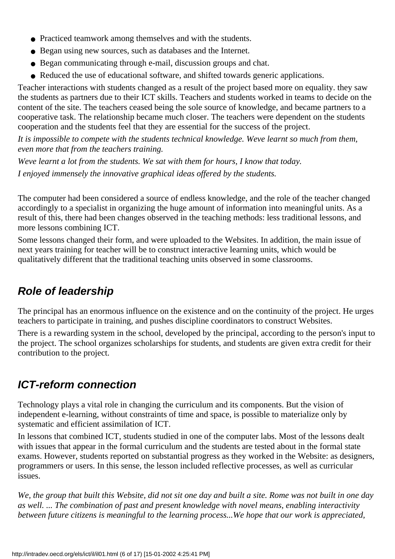- Practiced teamwork among themselves and with the students.
- Began using new sources, such as databases and the Internet.
- Began communicating through e-mail, discussion groups and chat.
- Reduced the use of educational software, and shifted towards generic applications.

Teacher interactions with students changed as a result of the project based more on equality. they saw the students as partners due to their ICT skills. Teachers and students worked in teams to decide on the content of the site. The teachers ceased being the sole source of knowledge, and became partners to a cooperative task. The relationship became much closer. The teachers were dependent on the students cooperation and the students feel that they are essential for the success of the project.

It is impossible to compete with the students technical knowledge. We ve learnt so much from them, *even more that from the teachers training.*

*Weve learnt a lot from the students. We sat with them for hours, I know that today. I enjoyed immensely the innovative graphical ideas offered by the students.*

The computer had been considered a source of endless knowledge, and the role of the teacher changed accordingly to a specialist in organizing the huge amount of information into meaningful units. As a result of this, there had been changes observed in the teaching methods: less traditional lessons, and more lessons combining ICT.

Some lessons changed their form, and were uploaded to the Websites. In addition, the main issue of next years training for teacher will be to construct interactive learning units, which would be qualitatively different that the traditional teaching units observed in some classrooms.

### **Role of leadership**

The principal has an enormous influence on the existence and on the continuity of the project. He urges teachers to participate in training, and pushes discipline coordinators to construct Websites.

There is a rewarding system in the school, developed by the principal, according to the person's input to the project. The school organizes scholarships for students, and students are given extra credit for their contribution to the project.

### **ICT-reform connection**

Technology plays a vital role in changing the curriculum and its components. But the vision of independent e-learning, without constraints of time and space, is possible to materialize only by systematic and efficient assimilation of ICT.

In lessons that combined ICT, students studied in one of the computer labs. Most of the lessons dealt with issues that appear in the formal curriculum and the students are tested about in the formal state exams. However, students reported on substantial progress as they worked in the Website: as designers, programmers or users. In this sense, the lesson included reflective processes, as well as curricular issues.

*We, the group that built this Website, did not sit one day and built a site. Rome was not built in one day as well. ... The combination of past and present knowledge with novel means, enabling interactivity between future citizens is meaningful to the learning process...We hope that our work is appreciated,*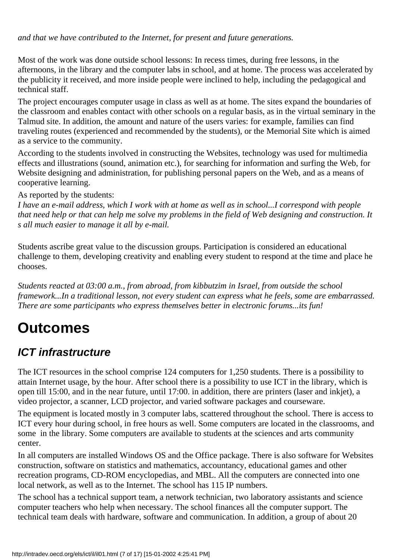*and that we have contributed to the Internet, for present and future generations.*

Most of the work was done outside school lessons: In recess times, during free lessons, in the afternoons, in the library and the computer labs in school, and at home. The process was accelerated by the publicity it received, and more inside people were inclined to help, including the pedagogical and technical staff.

The project encourages computer usage in class as well as at home. The sites expand the boundaries of the classroom and enables contact with other schools on a regular basis, as in the virtual seminary in the Talmud site. In addition, the amount and nature of the users varies: for example, families can find traveling routes (experienced and recommended by the students), or the Memorial Site which is aimed as a service to the community.

According to the students involved in constructing the Websites, technology was used for multimedia effects and illustrations (sound, animation etc.), for searching for information and surfing the Web, for Website designing and administration, for publishing personal papers on the Web, and as a means of cooperative learning.

As reported by the students:

*I have an e-mail address, which I work with at home as well as in school...I correspond with people that need help or that can help me solve my problems in the field of Web designing and construction. It s all much easier to manage it all by e-mail.*

Students ascribe great value to the discussion groups. Participation is considered an educational challenge to them, developing creativity and enabling every student to respond at the time and place he chooses.

*Students reacted at 03:00 a.m., from abroad, from kibbutzim in Israel, from outside the school framework...In a traditional lesson, not every student can express what he feels, some are embarrassed.* There are some participants who express themselves better in electronic forums...it s fun!

# **Outcomes**

### **ICT infrastructure**

The ICT resources in the school comprise 124 computers for 1,250 students. There is a possibility to attain Internet usage, by the hour. After school there is a possibility to use ICT in the library, which is open till 15:00, and in the near future, until 17:00. in addition, there are printers (laser and inkjet), a video projector, a scanner, LCD projector, and varied software packages and courseware.

The equipment is located mostly in 3 computer labs, scattered throughout the school. There is access to ICT every hour during school, in free hours as well. Some computers are located in the classrooms, and some in the library. Some computers are available to students at the sciences and arts community center.

In all computers are installed Windows OS and the Office package. There is also software for Websites construction, software on statistics and mathematics, accountancy, educational games and other recreation programs, CD-ROM encyclopedias, and MBL. All the computers are connected into one local network, as well as to the Internet. The school has 115 IP numbers.

The school has a technical support team, a network technician, two laboratory assistants and science computer teachers who help when necessary. The school finances all the computer support. The technical team deals with hardware, software and communication. In addition, a group of about 20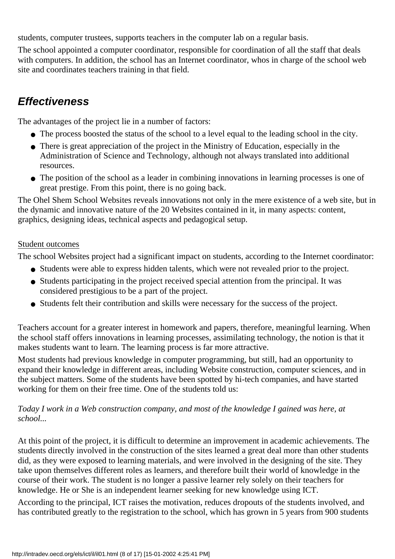students, computer trustees, supports teachers in the computer lab on a regular basis.

The school appointed a computer coordinator, responsible for coordination of all the staff that deals with computers. In addition, the school has an Internet coordinator, who s in charge of the school web site and coordinates teachers training in that field.

### **Effectiveness**

The advantages of the project lie in a number of factors:

- The process boosted the status of the school to a level equal to the leading school in the city.
- There is great appreciation of the project in the Ministry of Education, especially in the Administration of Science and Technology, although not always translated into additional resources.
- The position of the school as a leader in combining innovations in learning processes is one of great prestige. From this point, there is no going back.

The Ohel Shem School Websites reveals innovations not only in the mere existence of a web site, but in the dynamic and innovative nature of the 20 Websites contained in it, in many aspects: content, graphics, designing ideas, technical aspects and pedagogical setup.

#### Student outcomes

The school Websites project had a significant impact on students, according to the Internet coordinator:

- Students were able to express hidden talents, which were not revealed prior to the project.
- Students participating in the project received special attention from the principal. It was considered prestigious to be a part of the project.
- Students felt their contribution and skills were necessary for the success of the project.

Teachers account for a greater interest in homework and papers, therefore, meaningful learning. When the school staff offers innovations in learning processes, assimilating technology, the notion is that it makes students want to learn. The learning process is far more attractive.

Most students had previous knowledge in computer programming, but still, had an opportunity to expand their knowledge in different areas, including Website construction, computer sciences, and in the subject matters. Some of the students have been spotted by hi-tech companies, and have started working for them on their free time. One of the students told us:

#### *Today I work in a Web construction company, and most of the knowledge I gained was here, at school...*

At this point of the project, it is difficult to determine an improvement in academic achievements. The students directly involved in the construction of the sites learned a great deal more than other students did, as they were exposed to learning materials, and were involved in the designing of the site. They take upon themselves different roles as learners, and therefore built their world of knowledge in the course of their work. The student is no longer a passive learner rely solely on their teachers for knowledge. He or She is an independent learner seeking for new knowledge using ICT.

According to the principal, ICT raises the motivation, reduces dropouts of the students involved, and has contributed greatly to the registration to the school, which has grown in 5 years from 900 students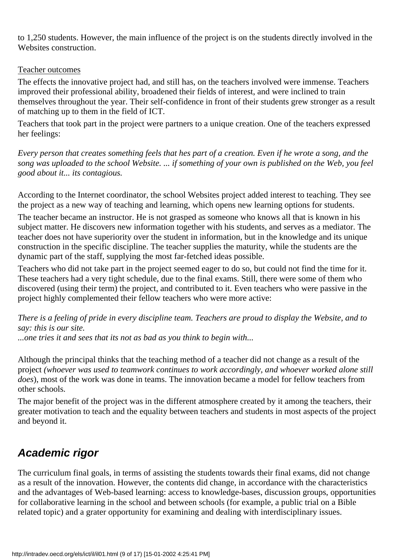to 1,250 students. However, the main influence of the project is on the students directly involved in the Websites construction.

#### Teacher outcomes

The effects the innovative project had, and still has, on the teachers involved were immense. Teachers improved their professional ability, broadened their fields of interest, and were inclined to train themselves throughout the year. Their self-confidence in front of their students grew stronger as a result of matching up to them in the field of ICT.

Teachers that took part in the project were partners to a unique creation. One of the teachers expressed her feelings:

*Every person that creates something feels that hes part of a creation. Even if he wrote a song, and the song was uploaded to the school Website. ... if something of your own is published on the Web, you feel good about it... its contagious.*

According to the Internet coordinator, the school Websites project added interest to teaching. They see the project as a new way of teaching and learning, which opens new learning options for students.

The teacher became an instructor. He is not grasped as someone who knows all that is known in his subject matter. He discovers new information together with his students, and serves as a mediator. The teacher does not have superiority over the student in information, but in the knowledge and its unique construction in the specific discipline. The teacher supplies the maturity, while the students are the dynamic part of the staff, supplying the most far-fetched ideas possible.

Teachers who did not take part in the project seemed eager to do so, but could not find the time for it. These teachers had a very tight schedule, due to the final exams. Still, there were some of them who discovered (using their term) the project, and contributed to it. Even teachers who were passive in the project highly complemented their fellow teachers who were more active:

*There is a feeling of pride in every discipline team. Teachers are proud to display the Website, and to say: this is our site.*

*...one tries it and sees that its not as bad as you think to begin with...*

Although the principal thinks that the teaching method of a teacher did not change as a result of the project *(whoever was used to teamwork continues to work accordingly, and whoever worked alone still does*), most of the work was done in teams. The innovation became a model for fellow teachers from other schools.

The major benefit of the project was in the different atmosphere created by it among the teachers, their greater motivation to teach and the equality between teachers and students in most aspects of the project and beyond it.

### **Academic rigor**

The curriculum final goals, in terms of assisting the students towards their final exams, did not change as a result of the innovation. However, the contents did change, in accordance with the characteristics and the advantages of Web-based learning: access to knowledge-bases, discussion groups, opportunities for collaborative learning in the school and between schools (for example, a public trial on a Bible related topic) and a grater opportunity for examining and dealing with interdisciplinary issues.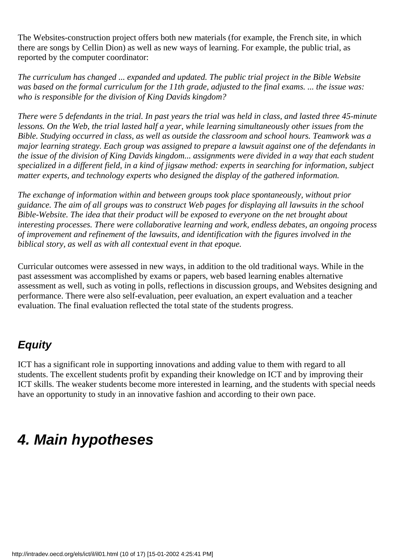The Websites-construction project offers both new materials (for example, the French site, in which there are songs by Cellin Dion) as well as new ways of learning. For example, the public trial, as reported by the computer coordinator:

*The curriculum has changed ... expanded and updated. The public trial project in the Bible Website was based on the formal curriculum for the 11th grade, adjusted to the final exams. ... the issue was:* who is responsible for the division of King David s kingdom?

*There were 5 defendants in the trial. In past years the trial was held in class, and lasted three 45-minute lessons. On the Web, the trial lasted half a year, while learning simultaneously other issues from the Bible. Studying occurred in class, as well as outside the classroom and school hours. Teamwork was a major learning strategy. Each group was assigned to prepare a lawsuit against one of the defendants in the issue of the division of King David s kingdom... assignments were divided in a way that each student specialized in a different field, in a kind of jigsaw method: experts in searching for information, subject matter experts, and technology experts who designed the display of the gathered information.*

*The exchange of information within and between groups took place spontaneously, without prior guidance. The aim of all groups was to construct Web pages for displaying all lawsuits in the school Bible-Website. The idea that their product will be exposed to everyone on the net brought about interesting processes. There were collaborative learning and work, endless debates, an ongoing process of improvement and refinement of the lawsuits, and identification with the figures involved in the biblical story, as well as with all contextual event in that epoque.*

Curricular outcomes were assessed in new ways, in addition to the old traditional ways. While in the past assessment was accomplished by exams or papers, web based learning enables alternative assessment as well, such as voting in polls, reflections in discussion groups, and Websites designing and performance. There were also self-evaluation, peer evaluation, an expert evaluation and a teacher evaluation. The final evaluation reflected the total state of the student s progress.

### **Equity**

ICT has a significant role in supporting innovations and adding value to them with regard to all students. The excellent students profit by expanding their knowledge on ICT and by improving their ICT skills. The weaker students become more interested in learning, and the students with special needs have an opportunity to study in an innovative fashion and according to their own pace.

## **4. Main hypotheses**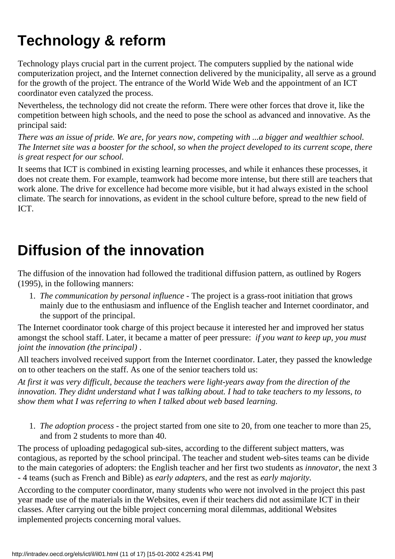# **Technology & reform**

Technology plays crucial part in the current project. The computers supplied by the national wide computerization project, and the Internet connection delivered by the municipality, all serve as a ground for the growth of the project. The entrance of the World Wide Web and the appointment of an ICT coordinator even catalyzed the process.

Nevertheless, the technology did not create the reform. There were other forces that drove it, like the competition between high schools, and the need to pose the school as advanced and innovative. As the principal said:

*There was an issue of pride. We are, for years now, competing with ...a bigger and wealthier school. The Internet site was a booster for the school, so when the project developed to its current scope, there is great respect for our school.*

It seems that ICT is combined in existing learning processes, and while it enhances these processes, it does not create them. For example, teamwork had become more intense, but there still are teachers that work alone. The drive for excellence had become more visible, but it had always existed in the school climate. The search for innovations, as evident in the school culture before, spread to the new field of ICT.

## **Diffusion of the innovation**

The diffusion of the innovation had followed the traditional diffusion pattern, as outlined by Rogers (1995), in the following manners:

*The communication by personal influence* - The project is a grass-root initiation that grows 1. mainly due to the enthusiasm and influence of the English teacher and Internet coordinator, and the support of the principal.

The Internet coordinator took charge of this project because it interested her and improved her status amongst the school staff. Later, it became a matter of peer pressure:  *if you want to keep up, you must joint the innovation (the principal)*.

All teachers involved received support from the Internet coordinator. Later, they passed the knowledge on to other teachers on the staff. As one of the senior teachers told us:

*At first it was very difficult, because the teachers were light-years away from the direction of the innovation. They didn t understand what I was talking about. I had to take teachers to my lessons, to show them what I was referring to when I talked about web based learning.*

*The adoption process* - the project started from one site to 20, from one teacher to more than 25, 1. and from 2 students to more than 40.

The process of uploading pedagogical sub-sites, according to the different subject matters, was contagious, as reported by the school principal. The teacher and student web-sites teams can be divide to the main categories of adopters: the English teacher and her first two students as *innovator*, the next 3 - 4 teams (such as French and Bible) as *early adapters*, and the rest as *early majority.*

According to the computer coordinator, many students who were not involved in the project this past year made use of the materials in the Websites, even if their teachers did not assimilate ICT in their classes. After carrying out the bible project concerning moral dilemmas, additional Websites implemented projects concerning moral values.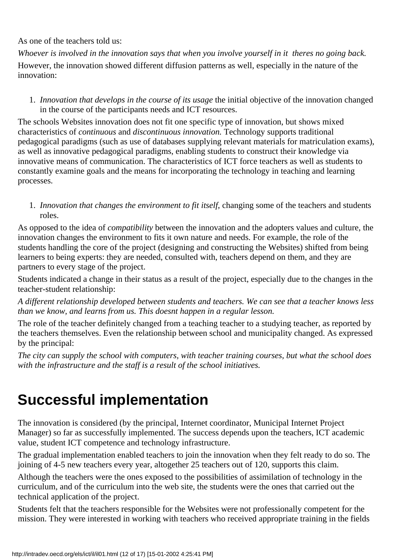As one of the teachers told us:

*Whoever is involved in the innovation says that when you involve yourself in it there s no going back.* However, the innovation showed different diffusion patterns as well, especially in the nature of the innovation:

*Innovation that develops in the course of its usage* the initial objective of the innovation changed 1. in the course of the participants needs and ICT resources.

The school s Websites innovation does not fit one specific type of innovation, but shows mixed characteristics of *continuous* and *discontinuous innovation.* Technology supports traditional pedagogical paradigms (such as use of databases supplying relevant materials for matriculation exams), as well as innovative pedagogical paradigms, enabling students to construct their knowledge via innovative means of communication. The characteristics of ICT force teachers as well as students to constantly examine goals and the means for incorporating the technology in teaching and learning processes.

*Innovation that changes the environment to fit itself*, changing some of the teachers and students 1. roles.

As opposed to the idea of *compatibility* between the innovation and the adopters values and culture, the innovation changes the environment to fits it own nature and needs. For example, the role of the students handling the core of the project (designing and constructing the Websites) shifted from being learners to being experts: they are needed, consulted with, teachers depend on them, and they are partners to every stage of the project.

Students indicated a change in their status as a result of the project, especially due to the changes in the teacher-student relationship:

*A different relationship developed between students and teachers. We can see that a teacher knows less than we know, and learns from us. This doesnt happen in a regular lesson.*

The role of the teacher definitely changed from a teaching teacher to a studying teacher, as reported by the teachers themselves. Even the relationship between school and municipality changed. As expressed by the principal:

*The city can supply the school with computers, with teacher training courses, but what the school does with the infrastructure and the staff is a result of the school initiatives.*

## **Successful implementation**

The innovation is considered (by the principal, Internet coordinator, Municipal Internet Project Manager) so far as successfully implemented. The success depends upon the teachers, ICT academic value, student ICT competence and technology infrastructure.

The gradual implementation enabled teachers to join the innovation when they felt ready to do so. The joining of 4-5 new teachers every year, altogether 25 teachers out of 120, supports this claim.

Although the teachers were the ones exposed to the possibilities of assimilation of technology in the curriculum, and of the curriculum into the web site, the students were the ones that carried out the technical application of the project.

Students felt that the teachers responsible for the Websites were not professionally competent for the mission. They were interested in working with teachers who received appropriate training in the fields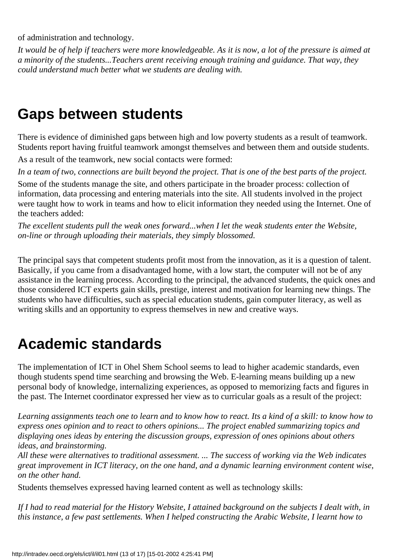of administration and technology.

*It would be of help if teachers were more knowledgeable. As it is now, a lot of the pressure is aimed at a minority of the students...Teachers arent receiving enough training and guidance. That way, they could understand much better what we students are dealing with.*

### **Gaps between students**

There is evidence of diminished gaps between high and low poverty students as a result of teamwork. Students report having fruitful teamwork amongst themselves and between them and outside students.

As a result of the teamwork, new social contacts were formed:

*In a team of two, connections are built beyond the project. That is one of the best parts of the project.*

Some of the students manage the site, and others participate in the broader process: collection of information, data processing and entering materials into the site. All students involved in the project were taught how to work in teams and how to elicit information they needed using the Internet. One of the teachers added:

*The excellent students pull the weak ones forward...when I let the weak students enter the Website, on-line or through uploading their materials, they simply blossomed.*

The principal says that competent students profit most from the innovation, as it is a question of talent. Basically, if you came from a disadvantaged home, with a low start, the computer will not be of any assistance in the learning process. According to the principal, the advanced students, the quick ones and those considered ICT experts gain skills, prestige, interest and motivation for learning new things. The students who have difficulties, such as special education students, gain computer literacy, as well as writing skills and an opportunity to express themselves in new and creative ways.

### **Academic standards**

The implementation of ICT in Ohel Shem School seems to lead to higher academic standards, even though students spend time searching and browsing the Web. E-learning means building up a new personal body of knowledge, internalizing experiences, as opposed to memorizing facts and figures in the past. The Internet coordinator expressed her view as to curricular goals as a result of the project:

*Learning assignments teach one to learn and to know how to react. Its a kind of a skill: to know how to express one s opinion and to react to others opinions... The project enabled summarizing topics and* displaying one s ideas by entering the discussion groups, expression of one s opinions about others *ideas, and brainstorming.*

*All these were alternatives to traditional assessment. ... The success of working via the Web indicates great improvement in ICT literacy, on the one hand, and a dynamic learning environment content wise, on the other hand.*

Students themselves expressed having learned content as well as technology skills:

*If I had to read material for the History Website, I attained background on the subjects I dealt with, in this instance, a few past settlements. When I helped constructing the Arabic Website, I learnt how to*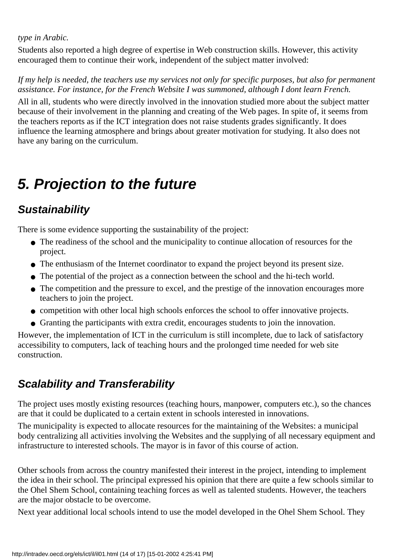#### *type in Arabic.*

Students also reported a high degree of expertise in Web construction skills. However, this activity encouraged them to continue their work, independent of the subject matter involved:

*If my help is needed, the teachers use my services not only for specific purposes, but also for permanent assistance. For instance, for the French Website I was summoned, although I dont learn French.*

All in all, students who were directly involved in the innovation studied more about the subject matter because of their involvement in the planning and creating of the Web pages. In spite of, it seems from the teachers reports as if the ICT integration does not raise students grades significantly. It does influence the learning atmosphere and brings about greater motivation for studying. It also does not have any baring on the curriculum.

## **5. Projection to the future**

### **Sustainability**

There is some evidence supporting the sustainability of the project:

- The readiness of the school and the municipality to continue allocation of resources for the project.
- The enthusiasm of the Internet coordinator to expand the project beyond its present size.
- The potential of the project as a connection between the school and the hi-tech world.
- The competition and the pressure to excel, and the prestige of the innovation encourages more teachers to join the project.
- competition with other local high schools enforces the school to offer innovative projects.
- Granting the participants with extra credit, encourages students to join the innovation.

However, the implementation of ICT in the curriculum is still incomplete, due to lack of satisfactory accessibility to computers, lack of teaching hours and the prolonged time needed for web site construction.

### **Scalability and Transferability**

The project uses mostly existing resources (teaching hours, manpower, computers etc.), so the chances are that it could be duplicated to a certain extent in schools interested in innovations.

The municipality is expected to allocate resources for the maintaining of the Websites: a municipal body centralizing all activities involving the Websites and the supplying of all necessary equipment and infrastructure to interested schools. The mayor is in favor of this course of action.

Other schools from across the country manifested their interest in the project, intending to implement the idea in their school. The principal expressed his opinion that there are quite a few schools similar to the Ohel Shem School, containing teaching forces as well as talented students. However, the teachers are the major obstacle to be overcome.

Next year additional local schools intend to use the model developed in the Ohel Shem School. They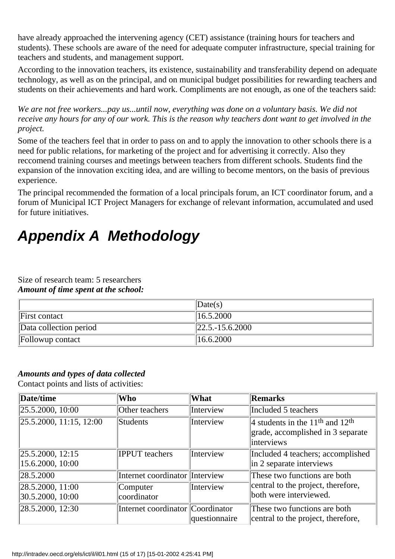have already approached the intervening agency (CET) assistance (training hours for teachers and students). These schools are aware of the need for adequate computer infrastructure, special training for teachers and students, and management support.

According to the innovation teachers, its existence, sustainability and transferability depend on adequate technology, as well as on the principal, and on municipal budget possibilities for rewarding teachers and students on their achievements and hard work. Compliments are not enough, as one of the teachers said:

*We are not free workers...pay us...until now, everything was done on a voluntary basis. We did not receive any hours for any of our work. This is the reason why teachers dont want to get involved in the project.*

Some of the teachers feel that in order to pass on and to apply the innovation to other schools there is a need for public relations, for marketing of the project and for advertising it correctly. Also they reccomend training courses and meetings between teachers from different schools. Students find the expansion of the innovation exciting idea, and are willing to become mentors, on the basis of previous experience.

The principal recommended the formation of a local principals forum, an ICT coordinator forum, and a forum of Municipal ICT Project Managers for exchange of relevant information, accumulated and used for future initiatives.

# **Appendix A Methodology**

Size of research team: 5 researchers *Amount of time spent at the school:*

|                        | $\vert$ Date(s)                      |
|------------------------|--------------------------------------|
| First contact          | 16.5.2000                            |
| Data collection period | $\left 22.5,-15.6.2000\right\rangle$ |
| Follow up contact      | 16.6.2000                            |

#### *Amounts and types of data collected*

Contact points and lists of activities:

| Date/time                                          | <b>Who</b>                       | What          | Remarks                                                                                       |
|----------------------------------------------------|----------------------------------|---------------|-----------------------------------------------------------------------------------------------|
| $\left 25.5.2000, 10:00\right\rangle$              | Other teachers                   | Interview     | Included 5 teachers                                                                           |
| $\left 25.5.2000, 11:15, 12:00\right\rangle$       | Students                         | Interview     | 4 students in the $11th$ and $12th$<br>grade, accomplished in 3 separate<br><i>interviews</i> |
| $\vert 25.5.2000, 12:15 \vert$<br>15.6.2000, 10:00 | <b>IPPUT</b> teachers            | Interview     | Included 4 teachers; accomplished<br>in 2 separate interviews                                 |
| 28.5.2000                                          | Internet coordinator Interview   |               | These two functions are both<br>central to the project, therefore,<br>both were interviewed.  |
| 28.5.2000, 11:00<br> 30.5.2000, 10:00              | Computer<br>coordinator          | Interview     |                                                                                               |
| 28.5.2000, 12:30                                   | Internet coordinator Coordinator | questionnaire | These two functions are both<br>central to the project, therefore,                            |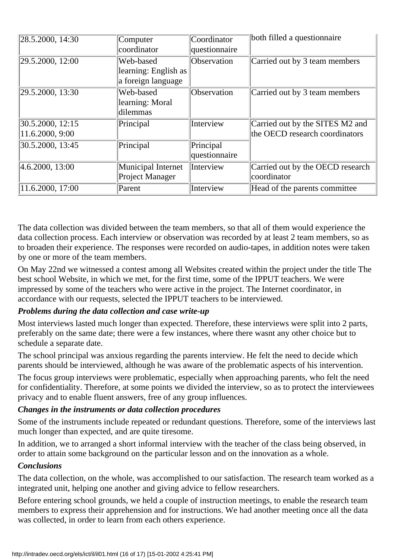| 28.5.2000, 14:30 | Computer             | Coordinator   | both filled a questionnaire      |
|------------------|----------------------|---------------|----------------------------------|
|                  | coordinator          | questionnaire |                                  |
| 29.5.2000, 12:00 | Web-based            | Observation   | Carried out by 3 team members    |
|                  | learning: English as |               |                                  |
|                  | a foreign language   |               |                                  |
| 29.5.2000, 13:30 | Web-based            | Observation   | Carried out by 3 team members    |
|                  | learning: Moral      |               |                                  |
|                  | dilemmas             |               |                                  |
| 30.5.2000, 12:15 | Principal            | Interview     | Carried out by the SITES M2 and  |
| 11.6.2000, 9:00  |                      |               | the OECD research coordinators   |
| 30.5.2000, 13:45 | Principal            | Principal     |                                  |
|                  |                      | questionnaire |                                  |
| 4.6.2000, 13:00  | Municipal Internet   | Interview     | Carried out by the OECD research |
|                  | Project Manager      |               | coordinator                      |
| 11.6.2000, 17:00 | Parent               | Interview     | Head of the parents committee    |

The data collection was divided between the team members, so that all of them would experience the data collection process. Each interview or observation was recorded by at least 2 team members, so as to broaden their experience. The responses were recorded on audio-tapes, in addition notes were taken by one or more of the team members.

On May 22nd we witnessed a contest among all Websites created within the project under the title The best school Website, in which we met, for the first time, some of the IPPUT teachers. We were impressed by some of the teachers who were active in the project. The Internet coordinator, in accordance with our requests, selected the IPPUT teachers to be interviewed.

#### *Problems during the data collection and case write-up*

Most interviews lasted much longer than expected. Therefore, these interviews were split into 2 parts, preferably on the same date; there were a few instances, where there wasnt any other choice but to schedule a separate date.

The school principal was anxious regarding the parents interview. He felt the need to decide which parents should be interviewed, although he was aware of the problematic aspects of his intervention.

The focus group interviews were problematic, especially when approaching parents, who felt the need for confidentiality. Therefore, at some points we divided the interview, so as to protect the interviewees privacy and to enable fluent answers, free of any group influences.

#### *Changes in the instruments or data collection procedures*

Some of the instruments include repeated or redundant questions. Therefore, some of the interviews last much longer than expected, and are quite tiresome.

In addition, we to arranged a short informal interview with the teacher of the class being observed, in order to attain some background on the particular lesson and on the innovation as a whole.

#### *Conclusions*

The data collection, on the whole, was accomplished to our satisfaction. The research team worked as a integrated unit, helping one another and giving advice to fellow researchers.

Before entering school grounds, we held a couple of instruction meetings, to enable the research team members to express their apprehension and for instructions. We had another meeting once all the data was collected, in order to learn from each other s experience.